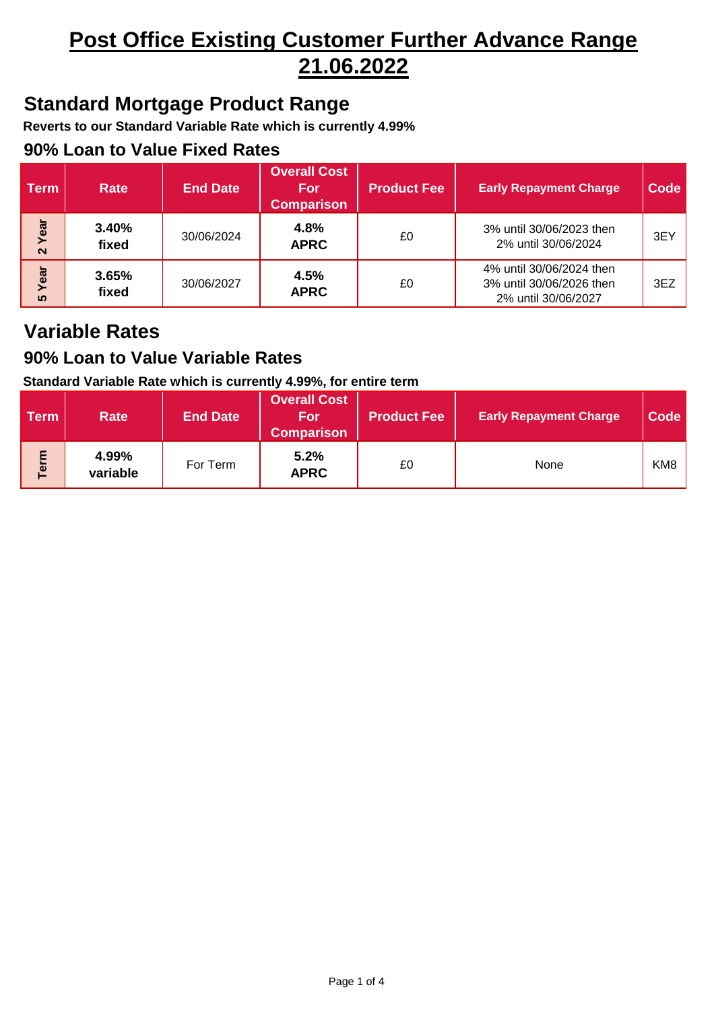# **Post Office Existing Customer Further Advance Range 21.06.2022**

## **Standard Mortgage Product Range**

**Reverts to our Standard Variable Rate which is currently 4.99%**

### **90% Loan to Value Fixed Rates**

| <b>Term</b>               | <b>Rate</b>    | <b>End Date</b> | <b>Overall Cost</b><br><b>For</b><br><b>Comparison</b> | <b>Product Fee</b> | <b>Early Repayment Charge</b>                                               | Code |
|---------------------------|----------------|-----------------|--------------------------------------------------------|--------------------|-----------------------------------------------------------------------------|------|
| Year<br>$\mathbf{\Omega}$ | 3.40%<br>fixed | 30/06/2024      | 4.8%<br><b>APRC</b>                                    | £0                 | 3% until 30/06/2023 then<br>2% until 30/06/2024                             | 3EY  |
| Year<br><b>50</b>         | 3.65%<br>fixed | 30/06/2027      | 4.5%<br><b>APRC</b>                                    | £0                 | 4% until 30/06/2024 then<br>3% until 30/06/2026 then<br>2% until 30/06/2027 | 3EZ  |

## **Variable Rates**

### **90% Loan to Value Variable Rates**

#### **Standard Variable Rate which is currently 4.99%, for entire term**

| Term | <b>Rate</b>       | <b>End Date</b> | <b>Overall Cost</b><br>/For<br><b>Comparison</b> | ∣ Product Fee <sup>∣</sup> | <b>Early Repayment Charge</b> | Code            |
|------|-------------------|-----------------|--------------------------------------------------|----------------------------|-------------------------------|-----------------|
| erm  | 4.99%<br>variable | For Term        | 5.2%<br><b>APRC</b>                              | £0                         | None                          | KM <sub>8</sub> |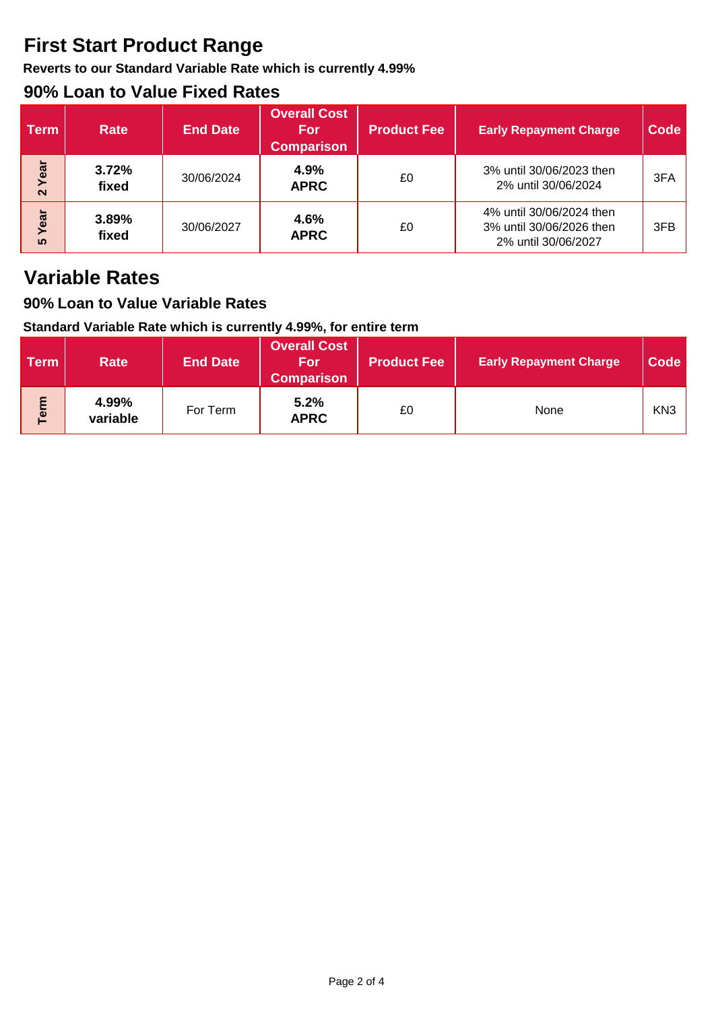## **First Start Product Range**

**Reverts to our Standard Variable Rate which is currently 4.99%**

## **90% Loan to Value Fixed Rates**

| <b>Term</b>               | <b>Rate</b>    | <b>End Date</b> | <b>Overall Cost</b><br><b>For</b><br><b>Comparison</b> | <b>Product Fee</b> | <b>Early Repayment Charge</b>                                               | <b>Code</b> |
|---------------------------|----------------|-----------------|--------------------------------------------------------|--------------------|-----------------------------------------------------------------------------|-------------|
| Year<br>$\mathbf{\Omega}$ | 3.72%<br>fixed | 30/06/2024      | 4.9%<br><b>APRC</b>                                    | £0                 | 3% until 30/06/2023 then<br>2% until 30/06/2024                             | 3FA         |
| Year<br><b>50</b>         | 3.89%<br>fixed | 30/06/2027      | 4.6%<br><b>APRC</b>                                    | £0                 | 4% until 30/06/2024 then<br>3% until 30/06/2026 then<br>2% until 30/06/2027 | 3FB         |

## **Variable Rates**

### **90% Loan to Value Variable Rates**

#### **Standard Variable Rate which is currently 4.99%, for entire term**

| <b>Term</b> | <b>Rate</b>       | <b>End Date</b> | <b>Overall Cost</b><br>For<br><b>Comparison</b> | <b>Product Fee</b> | <b>Early Repayment Charge</b> | Code            |
|-------------|-------------------|-----------------|-------------------------------------------------|--------------------|-------------------------------|-----------------|
| Term        | 4.99%<br>variable | For Term        | 5.2%<br><b>APRC</b>                             | £0                 | <b>None</b>                   | KN <sub>3</sub> |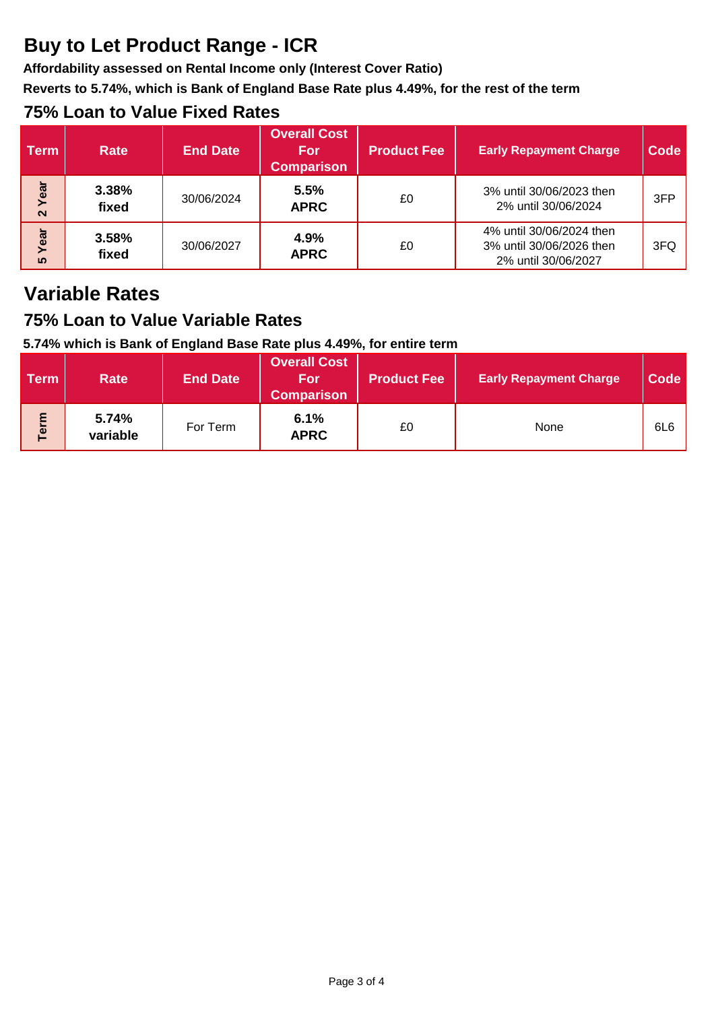## **Buy to Let Product Range - ICR**

**Affordability assessed on Rental Income only (Interest Cover Ratio)**

**Reverts to 5.74%, which is Bank of England Base Rate plus 4.49%, for the rest of the term**

## **75% Loan to Value Fixed Rates**

| <b>Term</b>               | <b>Rate</b>    | <b>End Date</b> | <b>Overall Cost</b><br><b>For</b><br><b>Comparison</b> | <b>Product Fee</b> | <b>Early Repayment Charge</b>                                               | Code |
|---------------------------|----------------|-----------------|--------------------------------------------------------|--------------------|-----------------------------------------------------------------------------|------|
| Year<br>$\mathbf{\Omega}$ | 3.38%<br>fixed | 30/06/2024      | 5.5%<br><b>APRC</b>                                    | £0                 | 3% until 30/06/2023 then<br>2% until 30/06/2024                             | 3FP  |
| Year<br><u> เก</u>        | 3.58%<br>fixed | 30/06/2027      | 4.9%<br><b>APRC</b>                                    | £0                 | 4% until 30/06/2024 then<br>3% until 30/06/2026 then<br>2% until 30/06/2027 | 3FQ  |

## **Variable Rates**

## **75% Loan to Value Variable Rates**

### **5.74% which is Bank of England Base Rate plus 4.49%, for entire term**

| <b>Term</b> | <b>Rate</b>       | <b>End Date</b> | <b>Overall Cost</b><br>/For<br><b>Comparison</b> | ∣Product Fee <sup>∣</sup> | <b>Early Repayment Charge</b> | Code            |
|-------------|-------------------|-----------------|--------------------------------------------------|---------------------------|-------------------------------|-----------------|
| Term        | 5.74%<br>variable | For Term        | 6.1%<br><b>APRC</b>                              | £0                        | None                          | 6L <sub>6</sub> |